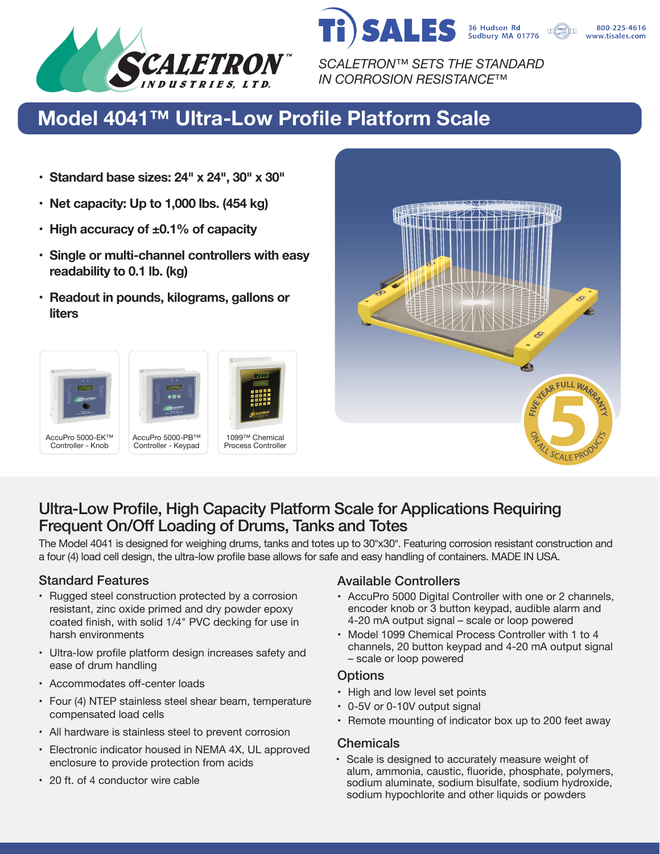

*SCALETRON™ SETS THE STANDARD IN CORROSION RESISTANCE™*

**SALES** 

## **Model 4041™ Ultra-Low Profile Platform Scale**

- **• Standard base sizes: 24" x 24", 30" x 30"**
- **• Net capacity: Up to 1,000 lbs. (454 kg)**
- **• High accuracy of ±0.1% of capacity**
- **• Single or multi-channel controllers with easy readability to 0.1 lb. (kg)**
- **• Readout in pounds, kilograms, gallons or liters**





36 Hudson Rd<br>Sudbury MA 01776

800-225-4616 www.tisales.com

### Ultra-Low Profile, High Capacity Platform Scale for Applications Requiring Frequent On/Off Loading of Drums, Tanks and Totes

The Model 4041 is designed for weighing drums, tanks and totes up to 30"x30". Featuring corrosion resistant construction and a four (4) load cell design, the ultra-low profile base allows for safe and easy handling of containers. MADE IN USA.

- Rugged steel construction protected by a corrosion resistant, zinc oxide primed and dry powder epoxy coated finish, with solid 1/4" PVC decking for use in harsh environments
- Ultra-low profile platform design increases safety and ease of drum handling
- Accommodates off-center loads
- Four (4) NTEP stainless steel shear beam, temperature compensated load cells
- All hardware is stainless steel to prevent corrosion
- Electronic indicator housed in NEMA 4X, UL approved enclosure to provide protection from acids
- 20 ft. of 4 conductor wire cable

### Standard Features **Available Controllers** Available Controllers

- AccuPro 5000 Digital Controller with one or 2 channels, encoder knob or 3 button keypad, audible alarm and 4-20 mA output signal – scale or loop powered
- Model 1099 Chemical Process Controller with 1 to 4 channels, 20 button keypad and 4-20 mA output signal – scale or loop powered

### **Options**

- High and low level set points
- 0-5V or 0-10V output signal
- Remote mounting of indicator box up to 200 feet away

### Chemicals

• Scale is designed to accurately measure weight of alum, ammonia, caustic, fluoride, phosphate, polymers, sodium aluminate, sodium bisulfate, sodium hydroxide, sodium hypochlorite and other liquids or powders